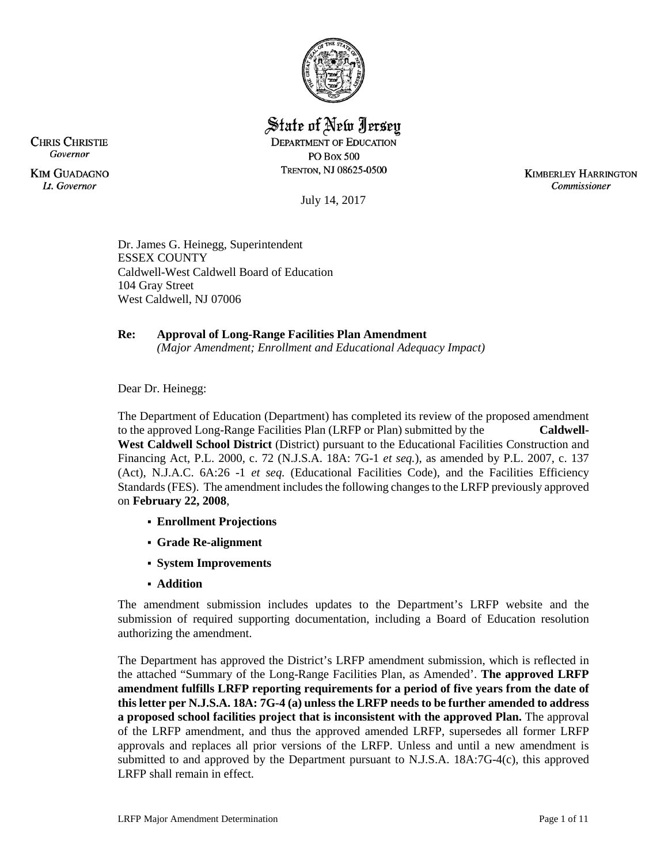

State of New Jersey

**DEPARTMENT OF EDUCATION PO Box 500** TRENTON, NJ 08625-0500

**KIMBERLEY HARRINGTON** Commissioner

July 14, 2017

Dr. James G. Heinegg, Superintendent ESSEX COUNTY Caldwell-West Caldwell Board of Education 104 Gray Street West Caldwell, NJ 07006

# **Re: Approval of Long-Range Facilities Plan Amendment**

*(Major Amendment; Enrollment and Educational Adequacy Impact)*

Dear Dr. Heinegg:

The Department of Education (Department) has completed its review of the proposed amendment to the approved Long-Range Facilities Plan (LRFP or Plan) submitted by the **Caldwell-West Caldwell School District** (District) pursuant to the Educational Facilities Construction and Financing Act, P.L. 2000, c. 72 (N.J.S.A. 18A: 7G-1 *et seq.*), as amended by P.L. 2007, c. 137 (Act), N.J.A.C. 6A:26 -1 *et seq.* (Educational Facilities Code), and the Facilities Efficiency Standards (FES). The amendment includes the following changes to the LRFP previously approved on **February 22, 2008**,

- **Enrollment Projections**
- **Grade Re-alignment**
- **System Improvements**
- **Addition**

The amendment submission includes updates to the Department's LRFP website and the submission of required supporting documentation, including a Board of Education resolution authorizing the amendment.

The Department has approved the District's LRFP amendment submission, which is reflected in the attached "Summary of the Long-Range Facilities Plan, as Amended'. **The approved LRFP amendment fulfills LRFP reporting requirements for a period of five years from the date of this letter per N.J.S.A. 18A: 7G-4 (a) unless the LRFP needs to be further amended to address a proposed school facilities project that is inconsistent with the approved Plan.** The approval of the LRFP amendment, and thus the approved amended LRFP, supersedes all former LRFP approvals and replaces all prior versions of the LRFP. Unless and until a new amendment is submitted to and approved by the Department pursuant to N.J.S.A. 18A:7G-4(c), this approved LRFP shall remain in effect.

**CHRIS CHRISTIE** Governor

**KIM GUADAGNO It.** Governor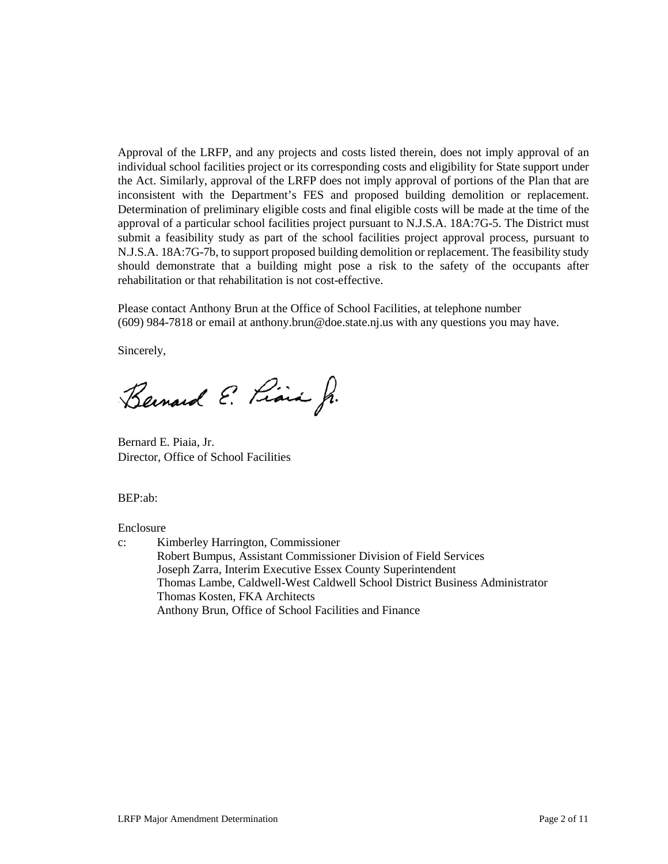Approval of the LRFP, and any projects and costs listed therein, does not imply approval of an individual school facilities project or its corresponding costs and eligibility for State support under the Act. Similarly, approval of the LRFP does not imply approval of portions of the Plan that are inconsistent with the Department's FES and proposed building demolition or replacement. Determination of preliminary eligible costs and final eligible costs will be made at the time of the approval of a particular school facilities project pursuant to N.J.S.A. 18A:7G-5. The District must submit a feasibility study as part of the school facilities project approval process, pursuant to N.J.S.A. 18A:7G-7b, to support proposed building demolition or replacement. The feasibility study should demonstrate that a building might pose a risk to the safety of the occupants after rehabilitation or that rehabilitation is not cost-effective.

Please contact Anthony Brun at the Office of School Facilities, at telephone number (609) 984-7818 or email at anthony.brun@doe.state.nj.us with any questions you may have.

Sincerely,

Bernard E. Piain J.

Bernard E. Piaia, Jr. Director, Office of School Facilities

#### BEP:ab:

#### Enclosure

c: Kimberley Harrington, Commissioner Robert Bumpus, Assistant Commissioner Division of Field Services Joseph Zarra, Interim Executive Essex County Superintendent Thomas Lambe, Caldwell-West Caldwell School District Business Administrator Thomas Kosten, FKA Architects Anthony Brun, Office of School Facilities and Finance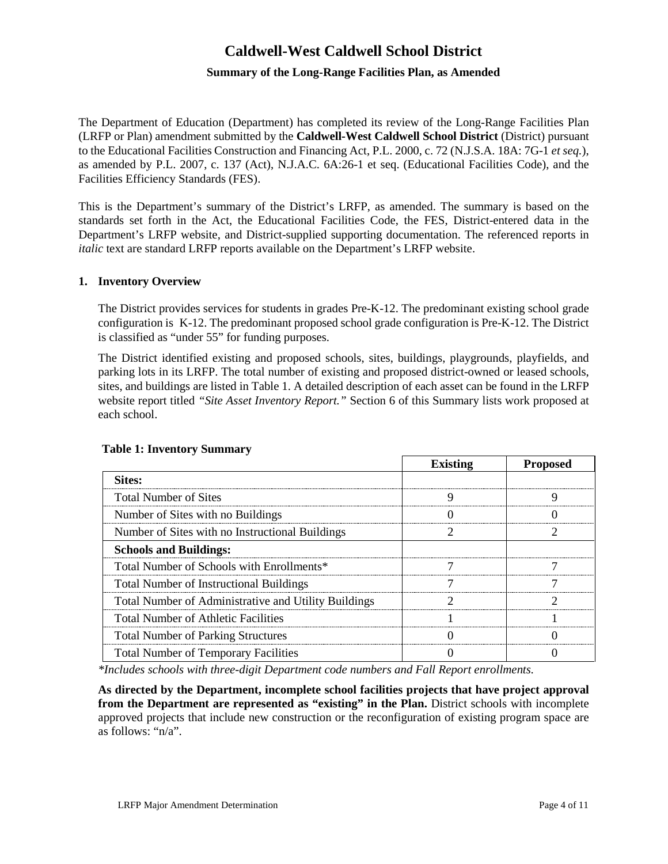# **Caldwell-West Caldwell School District**

# **Summary of the Long-Range Facilities Plan, as Amended**

The Department of Education (Department) has completed its review of the Long-Range Facilities Plan (LRFP or Plan) amendment submitted by the **Caldwell-West Caldwell School District** (District) pursuant to the Educational Facilities Construction and Financing Act, P.L. 2000, c. 72 (N.J.S.A. 18A: 7G-1 *et seq.*), as amended by P.L. 2007, c. 137 (Act), N.J.A.C. 6A:26-1 et seq. (Educational Facilities Code), and the Facilities Efficiency Standards (FES).

This is the Department's summary of the District's LRFP, as amended. The summary is based on the standards set forth in the Act, the Educational Facilities Code, the FES, District-entered data in the Department's LRFP website, and District-supplied supporting documentation. The referenced reports in *italic* text are standard LRFP reports available on the Department's LRFP website.

#### **1. Inventory Overview**

The District provides services for students in grades Pre-K-12. The predominant existing school grade configuration is K-12. The predominant proposed school grade configuration is Pre-K-12. The District is classified as "under 55" for funding purposes.

The District identified existing and proposed schools, sites, buildings, playgrounds, playfields, and parking lots in its LRFP. The total number of existing and proposed district-owned or leased schools, sites, and buildings are listed in Table 1. A detailed description of each asset can be found in the LRFP website report titled *"Site Asset Inventory Report."* Section 6 of this Summary lists work proposed at each school.

|                                                      | <b>Existing</b> | <b>Proposed</b> |
|------------------------------------------------------|-----------------|-----------------|
| Sites:                                               |                 |                 |
| <b>Total Number of Sites</b>                         |                 |                 |
| Number of Sites with no Buildings                    |                 |                 |
| Number of Sites with no Instructional Buildings      |                 |                 |
| <b>Schools and Buildings:</b>                        |                 |                 |
| Total Number of Schools with Enrollments*            |                 |                 |
| <b>Total Number of Instructional Buildings</b>       |                 |                 |
| Total Number of Administrative and Utility Buildings |                 |                 |
| <b>Total Number of Athletic Facilities</b>           |                 |                 |
| <b>Total Number of Parking Structures</b>            |                 |                 |
| <b>Total Number of Temporary Facilities</b>          |                 |                 |

#### **Table 1: Inventory Summary**

*\*Includes schools with three-digit Department code numbers and Fall Report enrollments.*

**As directed by the Department, incomplete school facilities projects that have project approval from the Department are represented as "existing" in the Plan.** District schools with incomplete approved projects that include new construction or the reconfiguration of existing program space are as follows: "n/a".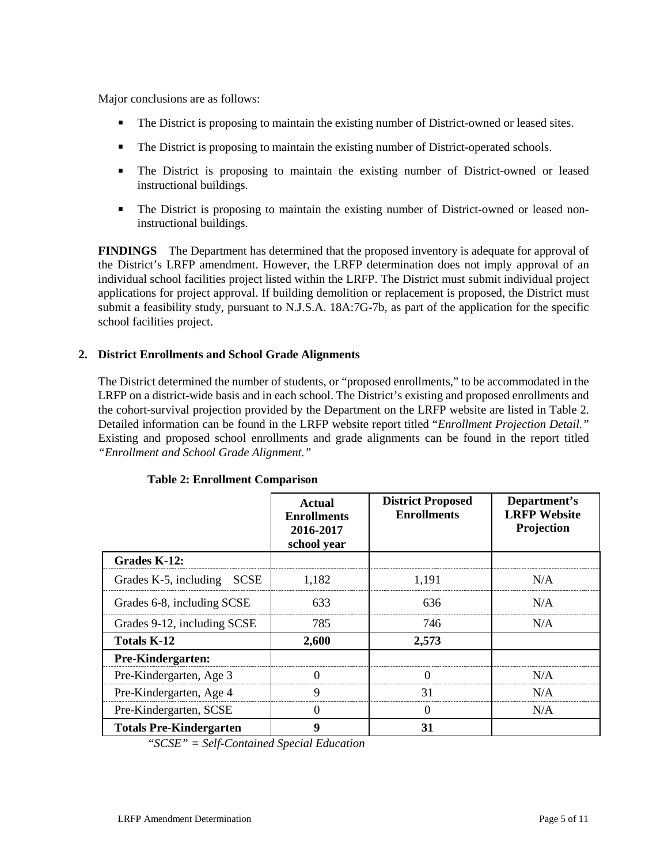Major conclusions are as follows:

- The District is proposing to maintain the existing number of District-owned or leased sites.
- The District is proposing to maintain the existing number of District-operated schools.
- The District is proposing to maintain the existing number of District-owned or leased instructional buildings.
- The District is proposing to maintain the existing number of District-owned or leased noninstructional buildings.

**FINDINGS** The Department has determined that the proposed inventory is adequate for approval of the District's LRFP amendment. However, the LRFP determination does not imply approval of an individual school facilities project listed within the LRFP. The District must submit individual project applications for project approval. If building demolition or replacement is proposed, the District must submit a feasibility study, pursuant to N.J.S.A. 18A:7G-7b, as part of the application for the specific school facilities project.

# **2. District Enrollments and School Grade Alignments**

The District determined the number of students, or "proposed enrollments," to be accommodated in the LRFP on a district-wide basis and in each school. The District's existing and proposed enrollments and the cohort-survival projection provided by the Department on the LRFP website are listed in Table 2. Detailed information can be found in the LRFP website report titled "*Enrollment Projection Detail."*  Existing and proposed school enrollments and grade alignments can be found in the report titled *"Enrollment and School Grade Alignment."*

|                                      | <b>Actual</b><br><b>Enrollments</b><br>2016-2017<br>school year | <b>District Proposed</b><br><b>Enrollments</b> | Department's<br><b>LRFP</b> Website<br>Projection |
|--------------------------------------|-----------------------------------------------------------------|------------------------------------------------|---------------------------------------------------|
| Grades K-12:                         |                                                                 |                                                |                                                   |
| Grades K-5, including<br><b>SCSE</b> | 1.182                                                           | 1.191                                          | N/A                                               |
| Grades 6-8, including SCSE           | 633                                                             | 636                                            | N/A                                               |
| Grades 9-12, including SCSE          | 785                                                             | 746                                            | N/A                                               |
| Totals K-12                          | 2,600                                                           | 2,573                                          |                                                   |
| <b>Pre-Kindergarten:</b>             |                                                                 |                                                |                                                   |
| Pre-Kindergarten, Age 3              | 0                                                               |                                                | N/A                                               |
| Pre-Kindergarten, Age 4              | 9                                                               | 31                                             | N/A                                               |
| Pre-Kindergarten, SCSE               | 0                                                               | $\left($                                       | N/A                                               |
| <b>Totals Pre-Kindergarten</b>       | 9                                                               | 31                                             |                                                   |

### **Table 2: Enrollment Comparison**

*"SCSE" = Self-Contained Special Education*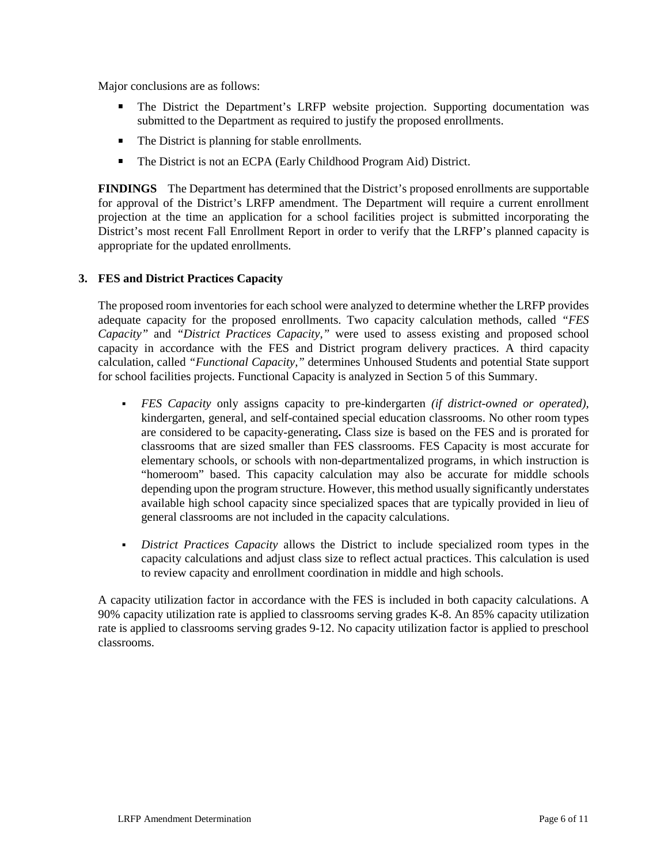Major conclusions are as follows:

- The District the Department's LRFP website projection. Supporting documentation was submitted to the Department as required to justify the proposed enrollments.
- The District is planning for stable enrollments.
- The District is not an ECPA (Early Childhood Program Aid) District.

**FINDINGS** The Department has determined that the District's proposed enrollments are supportable for approval of the District's LRFP amendment. The Department will require a current enrollment projection at the time an application for a school facilities project is submitted incorporating the District's most recent Fall Enrollment Report in order to verify that the LRFP's planned capacity is appropriate for the updated enrollments.

### **3. FES and District Practices Capacity**

The proposed room inventories for each school were analyzed to determine whether the LRFP provides adequate capacity for the proposed enrollments. Two capacity calculation methods, called *"FES Capacity"* and *"District Practices Capacity,"* were used to assess existing and proposed school capacity in accordance with the FES and District program delivery practices. A third capacity calculation, called *"Functional Capacity,"* determines Unhoused Students and potential State support for school facilities projects. Functional Capacity is analyzed in Section 5 of this Summary.

- *FES Capacity* only assigns capacity to pre-kindergarten *(if district-owned or operated),* kindergarten, general, and self-contained special education classrooms. No other room types are considered to be capacity-generating**.** Class size is based on the FES and is prorated for classrooms that are sized smaller than FES classrooms. FES Capacity is most accurate for elementary schools, or schools with non-departmentalized programs, in which instruction is "homeroom" based. This capacity calculation may also be accurate for middle schools depending upon the program structure. However, this method usually significantly understates available high school capacity since specialized spaces that are typically provided in lieu of general classrooms are not included in the capacity calculations.
- *District Practices Capacity* allows the District to include specialized room types in the capacity calculations and adjust class size to reflect actual practices. This calculation is used to review capacity and enrollment coordination in middle and high schools.

A capacity utilization factor in accordance with the FES is included in both capacity calculations. A 90% capacity utilization rate is applied to classrooms serving grades K-8. An 85% capacity utilization rate is applied to classrooms serving grades 9-12. No capacity utilization factor is applied to preschool classrooms.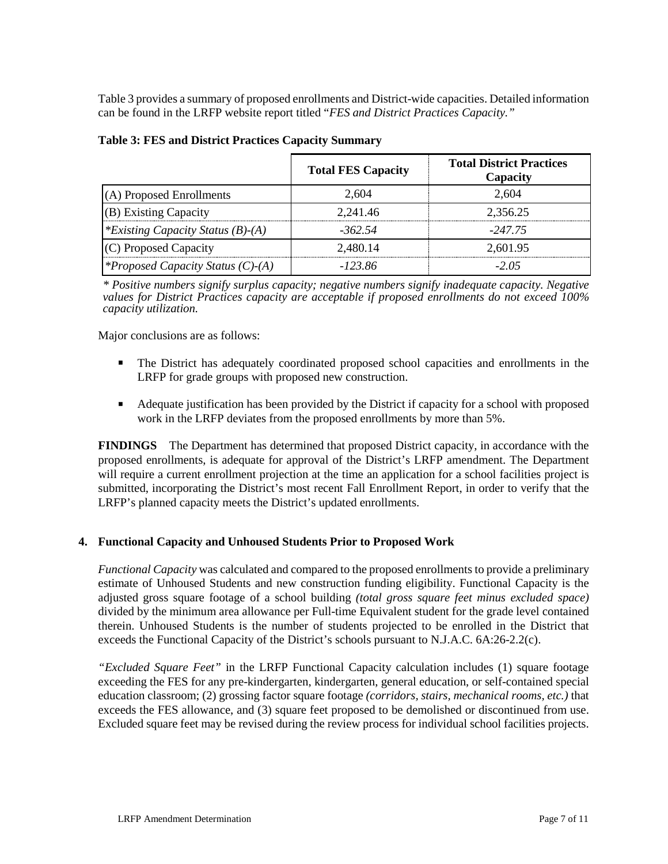Table 3 provides a summary of proposed enrollments and District-wide capacities. Detailed information can be found in the LRFP website report titled "*FES and District Practices Capacity."*

|                                          | <b>Total FES Capacity</b> | <b>Total District Practices</b><br>Capacity |
|------------------------------------------|---------------------------|---------------------------------------------|
| (A) Proposed Enrollments                 | 2.604                     | 2.604                                       |
| (B) Existing Capacity                    | 2.241.46                  | 2,356.25                                    |
| *Existing Capacity Status $(B)$ - $(A)$  | -362.54                   | -247.75                                     |
| (C) Proposed Capacity                    | 2.480.14                  | 2,601.95                                    |
| <i>*Proposed Capacity Status (C)-(A)</i> | -123.86                   | $-2.05$                                     |

*\* Positive numbers signify surplus capacity; negative numbers signify inadequate capacity. Negative values for District Practices capacity are acceptable if proposed enrollments do not exceed 100% capacity utilization.*

Major conclusions are as follows:

- The District has adequately coordinated proposed school capacities and enrollments in the LRFP for grade groups with proposed new construction.
- Adequate justification has been provided by the District if capacity for a school with proposed work in the LRFP deviates from the proposed enrollments by more than 5%.

**FINDINGS** The Department has determined that proposed District capacity, in accordance with the proposed enrollments, is adequate for approval of the District's LRFP amendment. The Department will require a current enrollment projection at the time an application for a school facilities project is submitted, incorporating the District's most recent Fall Enrollment Report, in order to verify that the LRFP's planned capacity meets the District's updated enrollments.

### **4. Functional Capacity and Unhoused Students Prior to Proposed Work**

*Functional Capacity* was calculated and compared to the proposed enrollments to provide a preliminary estimate of Unhoused Students and new construction funding eligibility. Functional Capacity is the adjusted gross square footage of a school building *(total gross square feet minus excluded space)*  divided by the minimum area allowance per Full-time Equivalent student for the grade level contained therein. Unhoused Students is the number of students projected to be enrolled in the District that exceeds the Functional Capacity of the District's schools pursuant to N.J.A.C. 6A:26-2.2(c).

*"Excluded Square Feet"* in the LRFP Functional Capacity calculation includes (1) square footage exceeding the FES for any pre-kindergarten, kindergarten, general education, or self-contained special education classroom; (2) grossing factor square footage *(corridors, stairs, mechanical rooms, etc.)* that exceeds the FES allowance, and (3) square feet proposed to be demolished or discontinued from use. Excluded square feet may be revised during the review process for individual school facilities projects.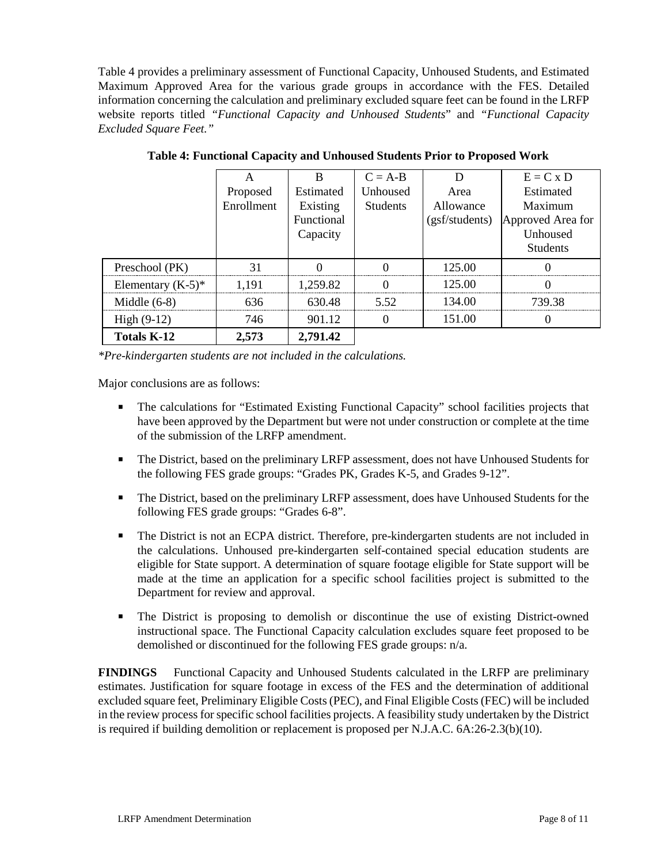Table 4 provides a preliminary assessment of Functional Capacity, Unhoused Students, and Estimated Maximum Approved Area for the various grade groups in accordance with the FES. Detailed information concerning the calculation and preliminary excluded square feet can be found in the LRFP website reports titled *"Functional Capacity and Unhoused Students*" and *"Functional Capacity Excluded Square Feet."*

|                      |            | B          | $C = A-B$       |                | $E = C x D$       |
|----------------------|------------|------------|-----------------|----------------|-------------------|
|                      | Proposed   | Estimated  | Unhoused        | Area           | Estimated         |
|                      | Enrollment | Existing   | <b>Students</b> | Allowance      | Maximum           |
|                      |            | Functional |                 | (gsf/students) | Approved Area for |
|                      |            | Capacity   |                 |                | Unhoused          |
|                      |            |            |                 |                | <b>Students</b>   |
| Preschool (PK)       | 31         |            |                 | 125.00         |                   |
| Elementary $(K-5)^*$ | 1.191      | 1,259.82   |                 | 125.00         |                   |
| Middle $(6-8)$       | 636        | 630.48     | 5.52            | 134.00         | 739.38            |
| High $(9-12)$        | 746        | 901.12     | O               | 151.00         |                   |
| <b>Totals K-12</b>   | 2,573      | 2,791.42   |                 |                |                   |

**Table 4: Functional Capacity and Unhoused Students Prior to Proposed Work**

*\*Pre-kindergarten students are not included in the calculations.* 

Major conclusions are as follows:

- The calculations for "Estimated Existing Functional Capacity" school facilities projects that have been approved by the Department but were not under construction or complete at the time of the submission of the LRFP amendment.
- The District, based on the preliminary LRFP assessment, does not have Unhoused Students for the following FES grade groups: "Grades PK, Grades K-5, and Grades 9-12".
- The District, based on the preliminary LRFP assessment, does have Unhoused Students for the following FES grade groups: "Grades 6-8".
- The District is not an ECPA district. Therefore, pre-kindergarten students are not included in the calculations. Unhoused pre-kindergarten self-contained special education students are eligible for State support. A determination of square footage eligible for State support will be made at the time an application for a specific school facilities project is submitted to the Department for review and approval.
- The District is proposing to demolish or discontinue the use of existing District-owned instructional space. The Functional Capacity calculation excludes square feet proposed to be demolished or discontinued for the following FES grade groups: n/a.

**FINDINGS** Functional Capacity and Unhoused Students calculated in the LRFP are preliminary estimates. Justification for square footage in excess of the FES and the determination of additional excluded square feet, Preliminary Eligible Costs (PEC), and Final Eligible Costs (FEC) will be included in the review process for specific school facilities projects. A feasibility study undertaken by the District is required if building demolition or replacement is proposed per N.J.A.C. 6A:26-2.3(b)(10).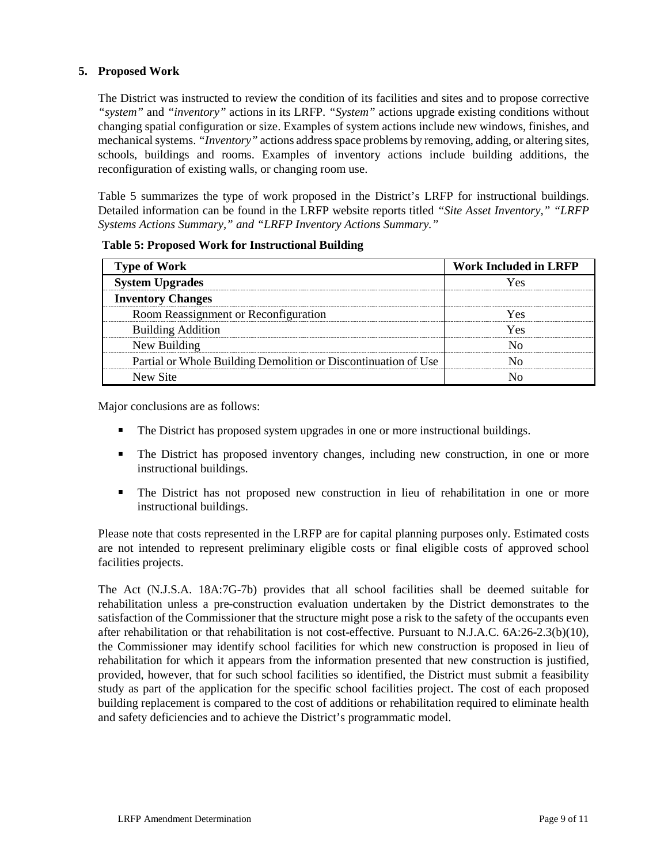# **5. Proposed Work**

The District was instructed to review the condition of its facilities and sites and to propose corrective *"system"* and *"inventory"* actions in its LRFP. *"System"* actions upgrade existing conditions without changing spatial configuration or size. Examples of system actions include new windows, finishes, and mechanical systems. *"Inventory"* actions address space problems by removing, adding, or altering sites, schools, buildings and rooms. Examples of inventory actions include building additions, the reconfiguration of existing walls, or changing room use.

Table 5 summarizes the type of work proposed in the District's LRFP for instructional buildings. Detailed information can be found in the LRFP website reports titled *"Site Asset Inventory," "LRFP Systems Actions Summary," and "LRFP Inventory Actions Summary."* 

| <b>Type of Work</b>                                            | <b>Work Included in LRFP</b> |
|----------------------------------------------------------------|------------------------------|
| <b>System Upgrades</b>                                         | r es                         |
| <b>Inventory Changes</b>                                       |                              |
| Room Reassignment or Reconfiguration                           | Yes                          |
| <b>Building Addition</b>                                       | ⁄ ρς                         |
| New Building                                                   |                              |
| Partial or Whole Building Demolition or Discontinuation of Use |                              |
| New Site                                                       |                              |

**Table 5: Proposed Work for Instructional Building**

Major conclusions are as follows:

- The District has proposed system upgrades in one or more instructional buildings.
- The District has proposed inventory changes, including new construction, in one or more instructional buildings.
- The District has not proposed new construction in lieu of rehabilitation in one or more instructional buildings.

Please note that costs represented in the LRFP are for capital planning purposes only. Estimated costs are not intended to represent preliminary eligible costs or final eligible costs of approved school facilities projects.

The Act (N.J.S.A. 18A:7G-7b) provides that all school facilities shall be deemed suitable for rehabilitation unless a pre-construction evaluation undertaken by the District demonstrates to the satisfaction of the Commissioner that the structure might pose a risk to the safety of the occupants even after rehabilitation or that rehabilitation is not cost-effective. Pursuant to N.J.A.C. 6A:26-2.3(b)(10), the Commissioner may identify school facilities for which new construction is proposed in lieu of rehabilitation for which it appears from the information presented that new construction is justified, provided, however, that for such school facilities so identified, the District must submit a feasibility study as part of the application for the specific school facilities project. The cost of each proposed building replacement is compared to the cost of additions or rehabilitation required to eliminate health and safety deficiencies and to achieve the District's programmatic model.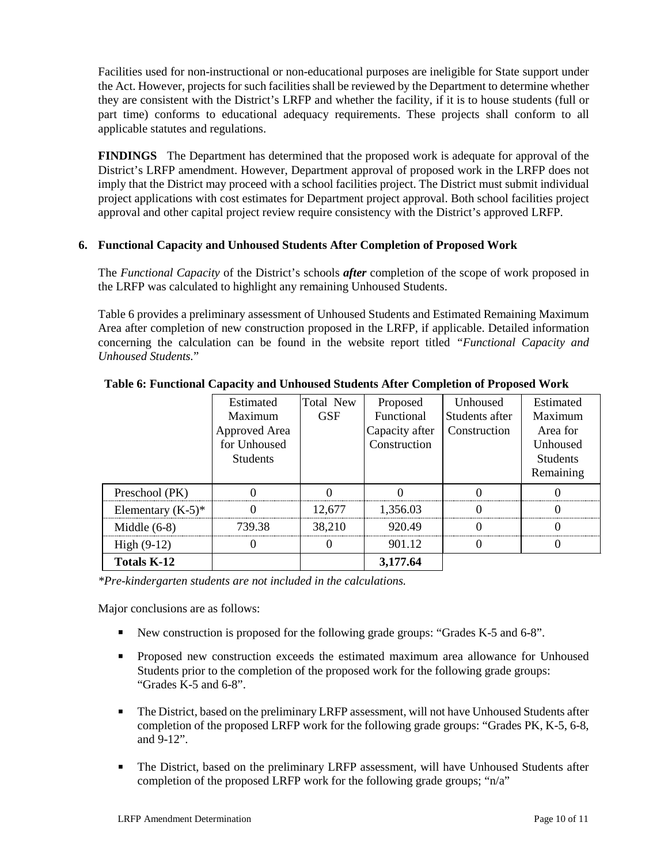Facilities used for non-instructional or non-educational purposes are ineligible for State support under the Act. However, projects for such facilities shall be reviewed by the Department to determine whether they are consistent with the District's LRFP and whether the facility, if it is to house students (full or part time) conforms to educational adequacy requirements. These projects shall conform to all applicable statutes and regulations.

**FINDINGS** The Department has determined that the proposed work is adequate for approval of the District's LRFP amendment. However, Department approval of proposed work in the LRFP does not imply that the District may proceed with a school facilities project. The District must submit individual project applications with cost estimates for Department project approval. Both school facilities project approval and other capital project review require consistency with the District's approved LRFP.

# **6. Functional Capacity and Unhoused Students After Completion of Proposed Work**

The *Functional Capacity* of the District's schools *after* completion of the scope of work proposed in the LRFP was calculated to highlight any remaining Unhoused Students.

Table 6 provides a preliminary assessment of Unhoused Students and Estimated Remaining Maximum Area after completion of new construction proposed in the LRFP, if applicable. Detailed information concerning the calculation can be found in the website report titled *"Functional Capacity and Unhoused Students.*"

|                      | Estimated<br>Maximum<br>Approved Area<br>for Unhoused | Total New<br><b>GSF</b> | Proposed<br>Functional<br>Capacity after<br>Construction | Unhoused<br>Students after<br>Construction | Estimated<br>Maximum<br>Area for<br>Unhoused |
|----------------------|-------------------------------------------------------|-------------------------|----------------------------------------------------------|--------------------------------------------|----------------------------------------------|
|                      | <b>Students</b>                                       |                         |                                                          |                                            | <b>Students</b><br>Remaining                 |
| Preschool (PK)       |                                                       |                         |                                                          |                                            |                                              |
| Elementary $(K-5)^*$ |                                                       | 12,677                  | 1,356.03                                                 |                                            |                                              |
| Middle $(6-8)$       | 739.38                                                | 38.210                  | 920.49                                                   |                                            |                                              |
| $High (9-12)$        |                                                       |                         | 901.12                                                   |                                            |                                              |
| <b>Totals K-12</b>   |                                                       |                         | 3,177.64                                                 |                                            |                                              |

**Table 6: Functional Capacity and Unhoused Students After Completion of Proposed Work**

*\*Pre-kindergarten students are not included in the calculations.*

Major conclusions are as follows:

- New construction is proposed for the following grade groups: "Grades K-5 and 6-8".
- Proposed new construction exceeds the estimated maximum area allowance for Unhoused Students prior to the completion of the proposed work for the following grade groups: "Grades  $\tilde{K}$ -5 and 6-8".
- The District, based on the preliminary LRFP assessment, will not have Unhoused Students after completion of the proposed LRFP work for the following grade groups: "Grades PK, K-5, 6-8, and 9-12".
- The District, based on the preliminary LRFP assessment, will have Unhoused Students after completion of the proposed LRFP work for the following grade groups; "n/a"